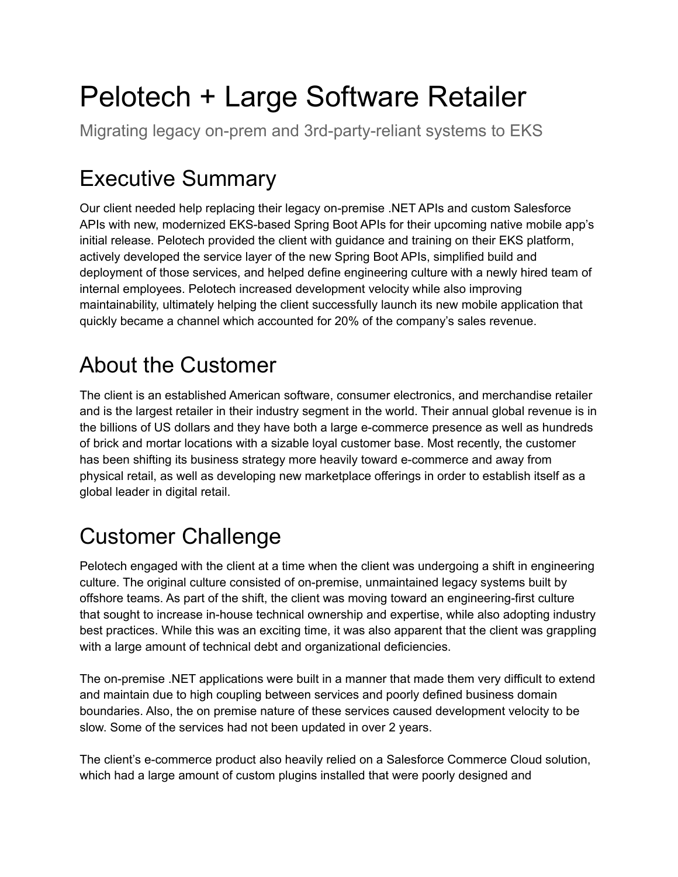# Pelotech + Large Software Retailer

Migrating legacy on-prem and 3rd-party-reliant systems to EKS

# Executive Summary

Our client needed help replacing their legacy on-premise .NET APIs and custom Salesforce APIs with new, modernized EKS-based Spring Boot APIs for their upcoming native mobile app's initial release. Pelotech provided the client with guidance and training on their EKS platform, actively developed the service layer of the new Spring Boot APIs, simplified build and deployment of those services, and helped define engineering culture with a newly hired team of internal employees. Pelotech increased development velocity while also improving maintainability, ultimately helping the client successfully launch its new mobile application that quickly became a channel which accounted for 20% of the company's sales revenue.

## About the Customer

The client is an established American software, consumer electronics, and merchandise retailer and is the largest retailer in their industry segment in the world. Their annual global revenue is in the billions of US dollars and they have both a large e-commerce presence as well as hundreds of brick and mortar locations with a sizable loyal customer base. Most recently, the customer has been shifting its business strategy more heavily toward e-commerce and away from physical retail, as well as developing new marketplace offerings in order to establish itself as a global leader in digital retail.

## Customer Challenge

Pelotech engaged with the client at a time when the client was undergoing a shift in engineering culture. The original culture consisted of on-premise, unmaintained legacy systems built by offshore teams. As part of the shift, the client was moving toward an engineering-first culture that sought to increase in-house technical ownership and expertise, while also adopting industry best practices. While this was an exciting time, it was also apparent that the client was grappling with a large amount of technical debt and organizational deficiencies.

The on-premise .NET applications were built in a manner that made them very difficult to extend and maintain due to high coupling between services and poorly defined business domain boundaries. Also, the on premise nature of these services caused development velocity to be slow. Some of the services had not been updated in over 2 years.

The client's e-commerce product also heavily relied on a Salesforce Commerce Cloud solution, which had a large amount of custom plugins installed that were poorly designed and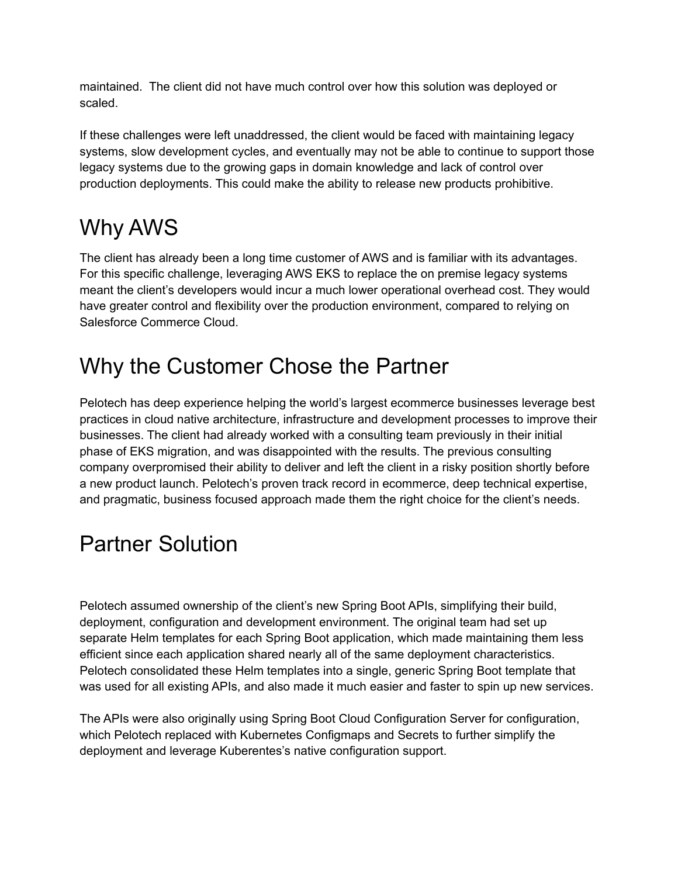maintained. The client did not have much control over how this solution was deployed or scaled.

If these challenges were left unaddressed, the client would be faced with maintaining legacy systems, slow development cycles, and eventually may not be able to continue to support those legacy systems due to the growing gaps in domain knowledge and lack of control over production deployments. This could make the ability to release new products prohibitive.

#### Why AWS

The client has already been a long time customer of AWS and is familiar with its advantages. For this specific challenge, leveraging AWS EKS to replace the on premise legacy systems meant the client's developers would incur a much lower operational overhead cost. They would have greater control and flexibility over the production environment, compared to relying on Salesforce Commerce Cloud.

#### Why the Customer Chose the Partner

Pelotech has deep experience helping the world's largest ecommerce businesses leverage best practices in cloud native architecture, infrastructure and development processes to improve their businesses. The client had already worked with a consulting team previously in their initial phase of EKS migration, and was disappointed with the results. The previous consulting company overpromised their ability to deliver and left the client in a risky position shortly before a new product launch. Pelotech's proven track record in ecommerce, deep technical expertise, and pragmatic, business focused approach made them the right choice for the client's needs.

#### Partner Solution

Pelotech assumed ownership of the client's new Spring Boot APIs, simplifying their build, deployment, configuration and development environment. The original team had set up separate Helm templates for each Spring Boot application, which made maintaining them less efficient since each application shared nearly all of the same deployment characteristics. Pelotech consolidated these Helm templates into a single, generic Spring Boot template that was used for all existing APIs, and also made it much easier and faster to spin up new services.

The APIs were also originally using Spring Boot Cloud Configuration Server for configuration, which Pelotech replaced with Kubernetes Configmaps and Secrets to further simplify the deployment and leverage Kuberentes's native configuration support.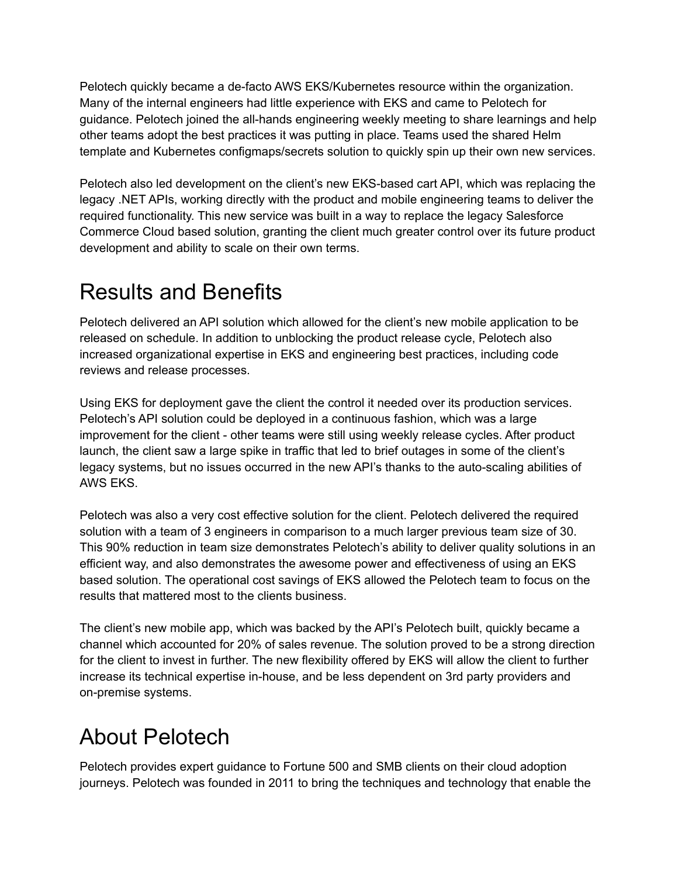Pelotech quickly became a de-facto AWS EKS/Kubernetes resource within the organization. Many of the internal engineers had little experience with EKS and came to Pelotech for guidance. Pelotech joined the all-hands engineering weekly meeting to share learnings and help other teams adopt the best practices it was putting in place. Teams used the shared Helm template and Kubernetes configmaps/secrets solution to quickly spin up their own new services.

Pelotech also led development on the client's new EKS-based cart API, which was replacing the legacy .NET APIs, working directly with the product and mobile engineering teams to deliver the required functionality. This new service was built in a way to replace the legacy Salesforce Commerce Cloud based solution, granting the client much greater control over its future product development and ability to scale on their own terms.

#### Results and Benefits

Pelotech delivered an API solution which allowed for the client's new mobile application to be released on schedule. In addition to unblocking the product release cycle, Pelotech also increased organizational expertise in EKS and engineering best practices, including code reviews and release processes.

Using EKS for deployment gave the client the control it needed over its production services. Pelotech's API solution could be deployed in a continuous fashion, which was a large improvement for the client - other teams were still using weekly release cycles. After product launch, the client saw a large spike in traffic that led to brief outages in some of the client's legacy systems, but no issues occurred in the new API's thanks to the auto-scaling abilities of AWS EKS.

Pelotech was also a very cost effective solution for the client. Pelotech delivered the required solution with a team of 3 engineers in comparison to a much larger previous team size of 30. This 90% reduction in team size demonstrates Pelotech's ability to deliver quality solutions in an efficient way, and also demonstrates the awesome power and effectiveness of using an EKS based solution. The operational cost savings of EKS allowed the Pelotech team to focus on the results that mattered most to the clients business.

The client's new mobile app, which was backed by the API's Pelotech built, quickly became a channel which accounted for 20% of sales revenue. The solution proved to be a strong direction for the client to invest in further. The new flexibility offered by EKS will allow the client to further increase its technical expertise in-house, and be less dependent on 3rd party providers and on-premise systems.

### About Pelotech

Pelotech provides expert guidance to Fortune 500 and SMB clients on their cloud adoption journeys. Pelotech was founded in 2011 to bring the techniques and technology that enable the